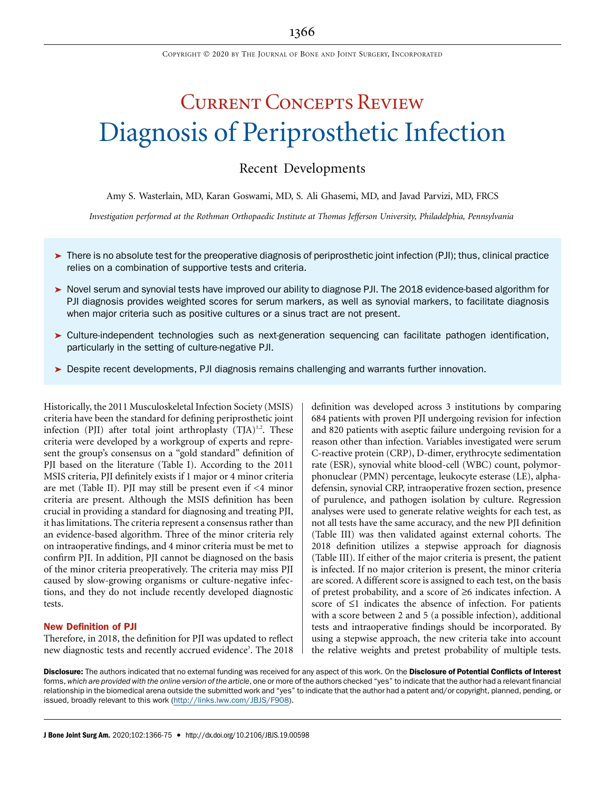# Current Concepts Review Diagnosis of Periprosthetic Infection

### Recent Developments

Amy S. Wasterlain, MD, Karan Goswami, MD, S. Ali Ghasemi, MD, and Javad Parvizi, MD, FRCS

Investigation performed at the Rothman Orthopaedic Institute at Thomas Jefferson University, Philadelphia, Pennsylvania

- $\triangleright$  There is no absolute test for the preoperative diagnosis of periprosthetic joint infection (PJI); thus, clinical practice relies on a combination of supportive tests and criteria.
- ▶ Novel serum and synovial tests have improved our ability to diagnose PJI. The 2018 evidence-based algorithm for PJI diagnosis provides weighted scores for serum markers, as well as synovial markers, to facilitate diagnosis when major criteria such as positive cultures or a sinus tract are not present.
- Culture-independent technologies such as next-generation sequencing can facilitate pathogen identification, particularly in the setting of culture-negative PJI.
- **Despite recent developments, PJI diagnosis remains challenging and warrants further innovation.**

Historically, the 2011 Musculoskeletal Infection Society (MSIS) criteria have been the standard for defining periprosthetic joint infection (PJI) after total joint arthroplasty  $(TJA)^{1,2}$ . These criteria were developed by a workgroup of experts and represent the group's consensus on a "gold standard" definition of PJI based on the literature (Table I). According to the 2011 MSIS criteria, PJI definitely exists if 1 major or 4 minor criteria are met (Table II). PJI may still be present even if <4 minor criteria are present. Although the MSIS definition has been crucial in providing a standard for diagnosing and treating PJI, it has limitations. The criteria represent a consensus rather than an evidence-based algorithm. Three of the minor criteria rely on intraoperative findings, and 4 minor criteria must be met to confirm PJI. In addition, PJI cannot be diagnosed on the basis of the minor criteria preoperatively. The criteria may miss PJI caused by slow-growing organisms or culture-negative infections, and they do not include recently developed diagnostic tests.

### New Definition of PJI

Therefore, in 2018, the definition for PJI was updated to reflect new diagnostic tests and recently accrued evidence<sup>3</sup>. The 2018

definition was developed across 3 institutions by comparing 684 patients with proven PJI undergoing revision for infection and 820 patients with aseptic failure undergoing revision for a reason other than infection. Variables investigated were serum C-reactive protein (CRP), D-dimer, erythrocyte sedimentation rate (ESR), synovial white blood-cell (WBC) count, polymorphonuclear (PMN) percentage, leukocyte esterase (LE), alphadefensin, synovial CRP, intraoperative frozen section, presence of purulence, and pathogen isolation by culture. Regression analyses were used to generate relative weights for each test, as not all tests have the same accuracy, and the new PJI definition (Table III) was then validated against external cohorts. The 2018 definition utilizes a stepwise approach for diagnosis (Table III). If either of the major criteria is present, the patient is infected. If no major criterion is present, the minor criteria are scored. A different score is assigned to each test, on the basis of pretest probability, and a score of  $\geq 6$  indicates infection. A score of  $\leq 1$  indicates the absence of infection. For patients with a score between 2 and 5 (a possible infection), additional tests and intraoperative findings should be incorporated. By using a stepwise approach, the new criteria take into account the relative weights and pretest probability of multiple tests.

Disclosure: The authors indicated that no external funding was received for any aspect of this work. On the Disclosure of Potential Conflicts of Interest forms, which are provided with the online version of the article, one or more of the authors checked "yes" to indicate that the author had a relevant financial relationship in the biomedical arena outside the submitted work and "yes" to indicate that the author had a patent and/or copyright, planned, pending, or issued, broadly relevant to this work (<http://links.lww.com/JBJS/F908>).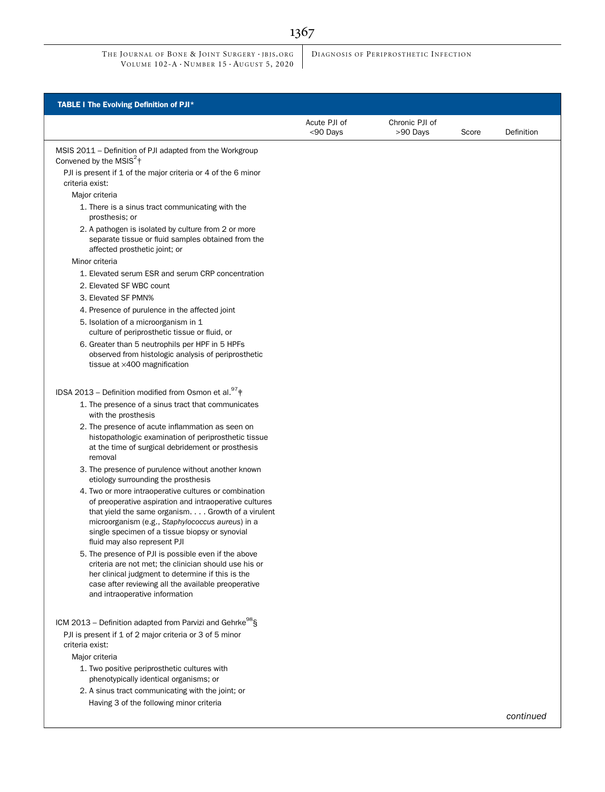DIAGNOSIS OF PERIPROSTHETIC INFECTION

| <b>TABLE I The Evolving Definition of PJI*</b>                                                                                                                                                                                                                                                              |                          |                            |       |            |
|-------------------------------------------------------------------------------------------------------------------------------------------------------------------------------------------------------------------------------------------------------------------------------------------------------------|--------------------------|----------------------------|-------|------------|
|                                                                                                                                                                                                                                                                                                             | Acute PJI of<br><90 Days | Chronic PJI of<br>>90 Days | Score | Definition |
| MSIS 2011 - Definition of PJI adapted from the Workgroup<br>Convened by the MSIS $2+$                                                                                                                                                                                                                       |                          |                            |       |            |
| PJI is present if 1 of the major criteria or 4 of the 6 minor<br>criteria exist:                                                                                                                                                                                                                            |                          |                            |       |            |
| Major criteria                                                                                                                                                                                                                                                                                              |                          |                            |       |            |
| 1. There is a sinus tract communicating with the<br>prosthesis; or                                                                                                                                                                                                                                          |                          |                            |       |            |
| 2. A pathogen is isolated by culture from 2 or more<br>separate tissue or fluid samples obtained from the<br>affected prosthetic joint; or                                                                                                                                                                  |                          |                            |       |            |
| Minor criteria                                                                                                                                                                                                                                                                                              |                          |                            |       |            |
| 1. Elevated serum ESR and serum CRP concentration                                                                                                                                                                                                                                                           |                          |                            |       |            |
| 2. Elevated SF WBC count                                                                                                                                                                                                                                                                                    |                          |                            |       |            |
| 3. Elevated SF PMN%                                                                                                                                                                                                                                                                                         |                          |                            |       |            |
| 4. Presence of purulence in the affected joint                                                                                                                                                                                                                                                              |                          |                            |       |            |
| 5. Isolation of a microorganism in 1<br>culture of periprosthetic tissue or fluid, or                                                                                                                                                                                                                       |                          |                            |       |            |
| 6. Greater than 5 neutrophils per HPF in 5 HPFs<br>observed from histologic analysis of periprosthetic<br>tissue at ×400 magnification                                                                                                                                                                      |                          |                            |       |            |
| IDSA 2013 – Definition modified from Osmon et al. $^{97}$ $\dagger$                                                                                                                                                                                                                                         |                          |                            |       |            |
| 1. The presence of a sinus tract that communicates<br>with the prosthesis                                                                                                                                                                                                                                   |                          |                            |       |            |
| 2. The presence of acute inflammation as seen on<br>histopathologic examination of periprosthetic tissue<br>at the time of surgical debridement or prosthesis<br>removal                                                                                                                                    |                          |                            |       |            |
| 3. The presence of purulence without another known<br>etiology surrounding the prosthesis                                                                                                                                                                                                                   |                          |                            |       |            |
| 4. Two or more intraoperative cultures or combination<br>of preoperative aspiration and intraoperative cultures<br>that yield the same organism. Growth of a virulent<br>microorganism (e.g., Staphylococcus aureus) in a<br>single specimen of a tissue biopsy or synovial<br>fluid may also represent PJI |                          |                            |       |            |
| 5. The presence of PJI is possible even if the above<br>criteria are not met; the clinician should use his or<br>her clinical judgment to determine if this is the<br>case after reviewing all the available preoperative<br>and intraoperative information                                                 |                          |                            |       |            |
| ICM 2013 - Definition adapted from Parvizi and Gehrke <sup>98</sup> §                                                                                                                                                                                                                                       |                          |                            |       |            |
| PJI is present if 1 of 2 major criteria or 3 of 5 minor<br>criteria exist:                                                                                                                                                                                                                                  |                          |                            |       |            |
| Major criteria                                                                                                                                                                                                                                                                                              |                          |                            |       |            |
| 1. Two positive periprosthetic cultures with<br>phenotypically identical organisms; or                                                                                                                                                                                                                      |                          |                            |       |            |
| 2. A sinus tract communicating with the joint; or                                                                                                                                                                                                                                                           |                          |                            |       |            |
| Having 3 of the following minor criteria                                                                                                                                                                                                                                                                    |                          |                            |       |            |
|                                                                                                                                                                                                                                                                                                             |                          |                            |       | continued  |

1367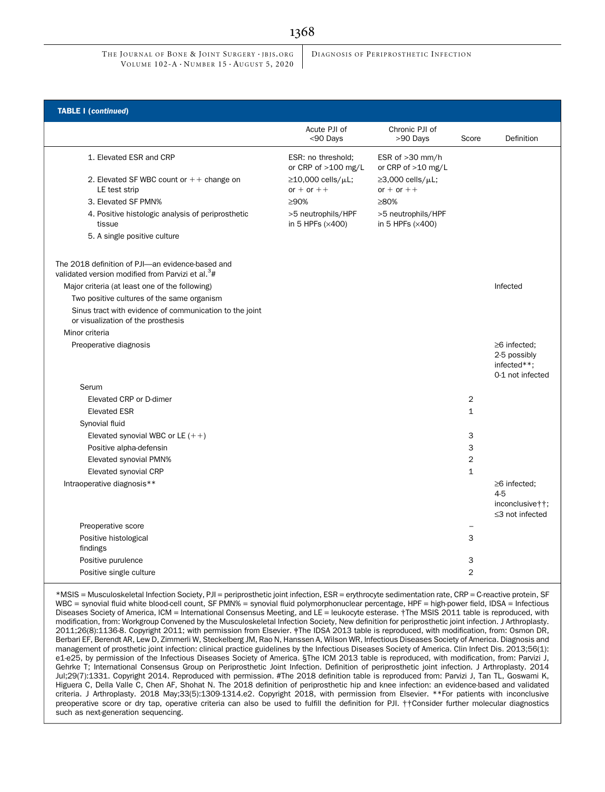DIAGNOSIS OF PERIPROSTHETIC INFECTION

| <b>TABLE I (continued)</b>                                                                                        |                                                 |                                                |                |                                                                       |
|-------------------------------------------------------------------------------------------------------------------|-------------------------------------------------|------------------------------------------------|----------------|-----------------------------------------------------------------------|
|                                                                                                                   | Acute PJI of<br><90 Days                        | Chronic PJI of<br>>90 Days                     | Score          | Definition                                                            |
| 1. Elevated ESR and CRP                                                                                           | ESR: no threshold;<br>or CRP of >100 mg/L       | ESR of >30 mm/h<br>or CRP of >10 mg/L          |                |                                                                       |
| 2. Elevated SF WBC count or $++$ change on<br>LE test strip                                                       | $\geq$ 10,000 cells/ $\mu$ L;<br>or $+$ or $++$ | $\geq$ 3,000 cells/ $\mu$ L;<br>or $+$ or $++$ |                |                                                                       |
| 3. Elevated SF PMN%                                                                                               | >90%                                            | ≥80%                                           |                |                                                                       |
| 4. Positive histologic analysis of periprosthetic<br>tissue                                                       | >5 neutrophils/HPF<br>in 5 HPFs (x400)          | >5 neutrophils/HPF<br>in 5 HPFs (x400)         |                |                                                                       |
| 5. A single positive culture                                                                                      |                                                 |                                                |                |                                                                       |
| The 2018 definition of PJI-an evidence-based and<br>validated version modified from Parvizi et al. <sup>3</sup> # |                                                 |                                                |                |                                                                       |
| Major criteria (at least one of the following)                                                                    |                                                 |                                                |                | Infected                                                              |
| Two positive cultures of the same organism                                                                        |                                                 |                                                |                |                                                                       |
| Sinus tract with evidence of communication to the joint<br>or visualization of the prosthesis                     |                                                 |                                                |                |                                                                       |
| Minor criteria                                                                                                    |                                                 |                                                |                |                                                                       |
| Preoperative diagnosis                                                                                            |                                                 |                                                |                | $\geq 6$ infected;<br>2-5 possibly<br>infected**:<br>0-1 not infected |
| Serum                                                                                                             |                                                 |                                                |                |                                                                       |
| Elevated CRP or D-dimer                                                                                           |                                                 |                                                | 2              |                                                                       |
| <b>Elevated ESR</b>                                                                                               |                                                 |                                                | 1              |                                                                       |
| Synovial fluid                                                                                                    |                                                 |                                                |                |                                                                       |
| Elevated synovial WBC or LE $(++)$                                                                                |                                                 |                                                | 3              |                                                                       |
| Positive alpha-defensin                                                                                           |                                                 |                                                | 3              |                                                                       |
| <b>Elevated synovial PMN%</b>                                                                                     |                                                 |                                                | $\overline{2}$ |                                                                       |
| Elevated synovial CRP                                                                                             |                                                 |                                                | $\mathbf{1}$   |                                                                       |
| Intraoperative diagnosis**                                                                                        |                                                 |                                                |                | $\geq 6$ infected;<br>$4-5$                                           |
|                                                                                                                   |                                                 |                                                |                | inconclusive††:<br>≤3 not infected                                    |
| Preoperative score                                                                                                |                                                 |                                                |                |                                                                       |
| Positive histological                                                                                             |                                                 |                                                | 3              |                                                                       |
| findings                                                                                                          |                                                 |                                                |                |                                                                       |
| Positive purulence                                                                                                |                                                 |                                                | 3              |                                                                       |
| Positive single culture                                                                                           |                                                 |                                                | $\overline{2}$ |                                                                       |

\*MSIS = Musculoskeletal Infection Society, PJI = periprosthetic joint infection, ESR = erythrocyte sedimentation rate, CRP = C-reactive protein, SF WBC = synovial fluid white blood-cell count, SF PMN% = synovial fluid polymorphonuclear percentage, HPF = high-power field, IDSA = Infectious Diseases Society of America, ICM = International Consensus Meeting, and LE = leukocyte esterase. †The MSIS 2011 table is reproduced, with modification, from: Workgroup Convened by the Musculoskeletal Infection Society, New definition for periprosthetic joint infection. J Arthroplasty. 2011;26(8):1136-8. Copyright 2011; with permission from Elsevier. ‡The IDSA 2013 table is reproduced, with modification, from: Osmon DR, Berbari EF, Berendt AR, Lew D, Zimmerli W, Steckelberg JM, Rao N, Hanssen A, Wilson WR, Infectious Diseases Society of America. Diagnosis and management of prosthetic joint infection: clinical practice guidelines by the Infectious Diseases Society of America. Clin Infect Dis. 2013;56(1): e1-e25, by permission of the Infectious Diseases Society of America. §The ICM 2013 table is reproduced, with modification, from: Parvizi J, Gehrke T; International Consensus Group on Periprosthetic Joint Infection. Definition of periprosthetic joint infection. J Arthroplasty. 2014 Jul;29(7):1331. Copyright 2014. Reproduced with permission. #The 2018 definition table is reproduced from: Parvizi J, Tan TL, Goswami K, Higuera C, Della Valle C, Chen AF, Shohat N. The 2018 definition of periprosthetic hip and knee infection: an evidence-based and validated criteria. J Arthroplasty. 2018 May;33(5):1309-1314.e2. Copyright 2018, with permission from Elsevier. \*\*For patients with inconclusive preoperative score or dry tap, operative criteria can also be used to fulfill the definition for PJI. ††Consider further molecular diagnostics such as next-generation sequencing.

### 1368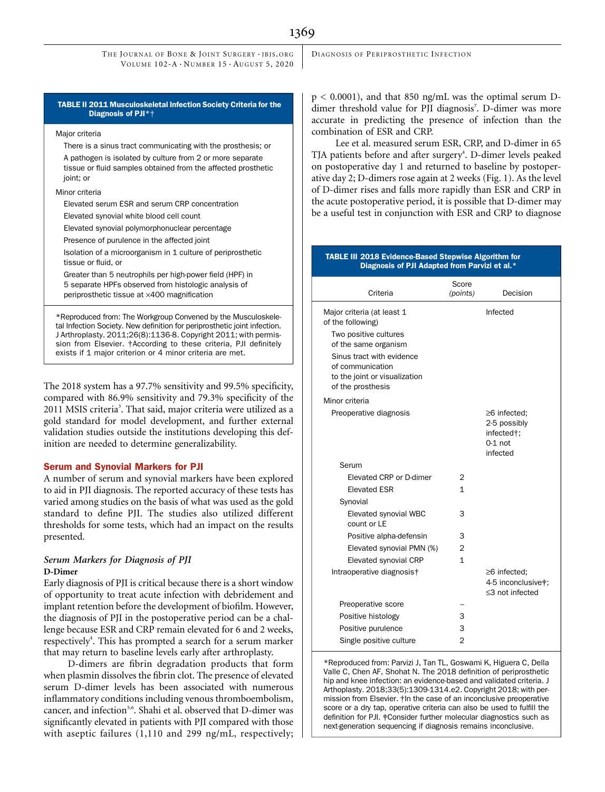TABLE II 2011 Musculoskeletal Infection Society Criteria for the Diagnosis of PJI\*†

### Major criteria

There is a sinus tract communicating with the prosthesis; or A pathogen is isolated by culture from 2 or more separate tissue or fluid samples obtained from the affected prosthetic ioint: or

### Minor criteria

Elevated serum ESR and serum CRP concentration

Elevated synovial white blood cell count

Elevated synovial polymorphonuclear percentage

Presence of purulence in the affected joint

Isolation of a microorganism in 1 culture of periprosthetic tissue or fluid, or

Greater than 5 neutrophils per high-power field (HPF) in 5 separate HPFs observed from histologic analysis of periprosthetic tissue at ×400 magnification

\*Reproduced from: The Workgroup Convened by the Musculoskeletal Infection Society. New definition for periprosthetic joint infection. J Arthroplasty. 2011;26(8):1136-8. Copyright 2011; with permission from Elsevier. †According to these criteria, PJI definitely exists if 1 major criterion or 4 minor criteria are met.

The 2018 system has a 97.7% sensitivity and 99.5% specificity, compared with 86.9% sensitivity and 79.3% specificity of the 2011 MSIS criteria<sup>3</sup>. That said, major criteria were utilized as a gold standard for model development, and further external validation studies outside the institutions developing this definition are needed to determine generalizability.

### Serum and Synovial Markers for PJI

A number of serum and synovial markers have been explored to aid in PJI diagnosis. The reported accuracy of these tests has varied among studies on the basis of what was used as the gold standard to define PJI. The studies also utilized different thresholds for some tests, which had an impact on the results presented.

## $D$ -Dimer

Early diagnosis of PJI is critical because there is a short window of opportunity to treat acute infection with debridement and implant retention before the development of biofilm. However, the diagnosis of PJI in the postoperative period can be a challenge because ESR and CRP remain elevated for 6 and 2 weeks, respectively<sup>4</sup>. This has prompted a search for a serum marker that may return to baseline levels early after arthroplasty.

D-dimers are fibrin degradation products that form when plasmin dissolves the fibrin clot. The presence of elevated serum D-dimer levels has been associated with numerous inflammatory conditions including venous thromboembolism, cancer, and infection<sup>5,6</sup>. Shahi et al. observed that D-dimer was significantly elevated in patients with PJI compared with those with aseptic failures (1,110 and 299 ng/mL, respectively;  $p < 0.0001$ ), and that 850 ng/mL was the optimal serum Ddimer threshold value for PJI diagnosis<sup>7</sup>. D-dimer was more accurate in predicting the presence of infection than the combination of ESR and CRP.

Lee et al. measured serum ESR, CRP, and D-dimer in 65 TJA patients before and after surgery<sup>4</sup>. D-dimer levels peaked on postoperative day 1 and returned to baseline by postoperative day 2; D-dimers rose again at 2 weeks (Fig. 1). As the level of D-dimer rises and falls more rapidly than ESR and CRP in the acute postoperative period, it is possible that D-dimer may be a useful test in conjunction with ESR and CRP to diagnose

### TABLE III 2018 Evidence-Based Stepwise Algorithm for Diagnosis of PJI Adapted from Parvizi et al.\*

| Criteria                                                                                            | Score<br>(points) | Decision                                                                       |
|-----------------------------------------------------------------------------------------------------|-------------------|--------------------------------------------------------------------------------|
| Major criteria (at least 1<br>of the following)                                                     |                   | Infected                                                                       |
| Two positive cultures<br>of the same organism                                                       |                   |                                                                                |
| Sinus tract with evidence<br>of communication<br>to the joint or visualization<br>of the prosthesis |                   |                                                                                |
| Minor criteria                                                                                      |                   |                                                                                |
| Preoperative diagnosis                                                                              |                   | $\geq$ 6 infected;<br>2-5 possibly<br>infected†:<br>$0-1$ not<br>infected      |
| Serum                                                                                               |                   |                                                                                |
| Elevated CRP or D-dimer                                                                             | 2                 |                                                                                |
| <b>Elevated ESR</b>                                                                                 | $\mathbf{1}$      |                                                                                |
| Synovial                                                                                            |                   |                                                                                |
| Elevated synovial WBC<br>count or LE                                                                | 3                 |                                                                                |
| Positive alpha-defensin                                                                             | З                 |                                                                                |
| Elevated synovial PMN (%)                                                                           | $\overline{2}$    |                                                                                |
| Elevated synovial CRP                                                                               | 1                 |                                                                                |
| Intraoperative diagnosis†                                                                           |                   | $\geq$ 6 infected;<br>4-5 inconclusive <sup>#</sup> :<br>$\leq$ 3 not infected |
| Preoperative score                                                                                  |                   |                                                                                |
| Positive histology                                                                                  | 3                 |                                                                                |
| Positive purulence                                                                                  | 3                 |                                                                                |
| Single positive culture                                                                             | $\overline{2}$    |                                                                                |

\*Reproduced from: Parvizi J, Tan TL, Goswami K, Higuera C, Della Valle C, Chen AF, Shohat N. The 2018 definition of periprosthetic hip and knee infection: an evidence-based and validated criteria. J Arthoplasty. 2018;33(5):1309-1314.e2. Copyright 2018; with permission from Elsevier. †In the case of an inconclusive preoperative score or a dry tap, operative criteria can also be used to fulfill the definition for PJI. ‡Consider further molecular diagnostics such as next-generation sequencing if diagnosis remains inconclusive.

1369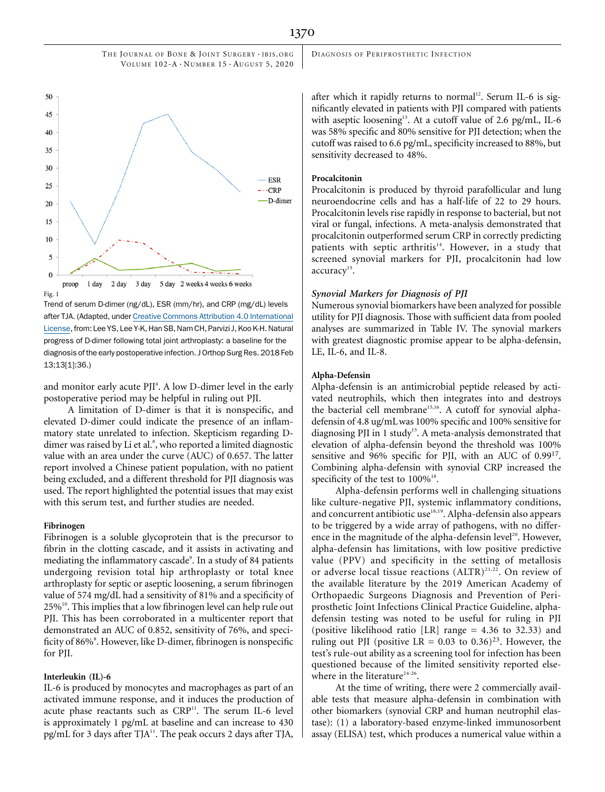



Trend of serum D-dimer (ng/dL), ESR (mm/hr), and CRP (mg/dL) levels after TJA. (Adapted, under [Creative Commons Attribution 4.0 International](http://creativecommons.org/licenses/by/4.0/) [License,](http://creativecommons.org/licenses/by/4.0/) from: Lee YS, Lee Y-K, Han SB, Nam CH, Parvizi J, Koo K-H. Natural progress of D-dimer following total joint arthroplasty: a baseline for the diagnosis of the early postoperative infection. J Orthop Surg Res. 2018 Feb 13;13[1]:36.)

and monitor early acute PJI<sup>4</sup>. A low D-dimer level in the early postoperative period may be helpful in ruling out PJI.

A limitation of D-dimer is that it is nonspecific, and elevated D-dimer could indicate the presence of an inflammatory state unrelated to infection. Skepticism regarding Ddimer was raised by Li et al.<sup>8</sup>, who reported a limited diagnostic value with an area under the curve (AUC) of 0.657. The latter report involved a Chinese patient population, with no patient being excluded, and a different threshold for PJI diagnosis was used. The report highlighted the potential issues that may exist with this serum test, and further studies are needed.

### Fibrinogen

Fibrinogen is a soluble glycoprotein that is the precursor to fibrin in the clotting cascade, and it assists in activating and mediating the inflammatory cascade<sup>9</sup>. In a study of 84 patients undergoing revision total hip arthroplasty or total knee arthroplasty for septic or aseptic loosening, a serum fibrinogen value of 574 mg/dL had a sensitivity of 81% and a specificity of  $25\%$ <sup>10</sup>. This implies that a low fibrinogen level can help rule out PJI. This has been corroborated in a multicenter report that demonstrated an AUC of 0.852, sensitivity of 76%, and specificity of 86%<sup>8</sup>. However, like D-dimer, fibrinogen is nonspecific for PJI.

### Interleukin (IL)-6

IL-6 is produced by monocytes and macrophages as part of an activated immune response, and it induces the production of acute phase reactants such as CRP<sup>11</sup>. The serum IL-6 level is approximately 1 pg/mL at baseline and can increase to 430 pg/mL for 3 days after TJA<sup>11</sup>. The peak occurs 2 days after TJA,

DIAGNOSIS OF PERIPROSTHETIC INFECTION

after which it rapidly returns to normal<sup>12</sup>. Serum IL-6 is significantly elevated in patients with PJI compared with patients with aseptic loosening<sup>13</sup>. At a cutoff value of 2.6 pg/mL, IL-6 was 58% specific and 80% sensitive for PJI detection; when the cutoff was raised to 6.6 pg/mL, specificity increased to 88%, but sensitivity decreased to 48%.

### Procalcitonin

Procalcitonin is produced by thyroid parafollicular and lung neuroendocrine cells and has a half-life of 22 to 29 hours. Procalcitonin levels rise rapidly in response to bacterial, but not viral or fungal, infections. A meta-analysis demonstrated that procalcitonin outperformed serum CRP in correctly predicting patients with septic arthritis<sup>14</sup>. However, in a study that screened synovial markers for PJI, procalcitonin had low accuracy<sup>15</sup>.

Symmerous synovial biomarkers have been analyzed for possible utility for PJI diagnosis. Those with sufficient data from pooled analyses are summarized in Table IV. The synovial markers with greatest diagnostic promise appear to be alpha-defensin, LE, IL-6, and IL-8.

### Alpha-Defensin

Alpha-defensin is an antimicrobial peptide released by activated neutrophils, which then integrates into and destroys the bacterial cell membrane<sup>15,16</sup>. A cutoff for synovial alphadefensin of 4.8 ug/mL was 100% specific and 100% sensitive for diagnosing PJI in 1 study<sup>15</sup>. A meta-analysis demonstrated that elevation of alpha-defensin beyond the threshold was 100% sensitive and 96% specific for PJI, with an AUC of 0.99<sup>17</sup>. Combining alpha-defensin with synovial CRP increased the specificity of the test to  $100\%$ <sup>18</sup>.

Alpha-defensin performs well in challenging situations like culture-negative PJI, systemic inflammatory conditions, and concurrent antibiotic use<sup>18,19</sup>. Alpha-defensin also appears to be triggered by a wide array of pathogens, with no difference in the magnitude of the alpha-defensin level<sup>20</sup>. However, alpha-defensin has limitations, with low positive predictive value (PPV) and specificity in the setting of metallosis or adverse local tissue reactions  $(ALTR)^{21,22}$ . On review of the available literature by the 2019 American Academy of Orthopaedic Surgeons Diagnosis and Prevention of Periprosthetic Joint Infections Clinical Practice Guideline, alphadefensin testing was noted to be useful for ruling in PJI (positive likelihood ratio [LR] range  $= 4.36$  to 32.33) and ruling out PJI (positive LR = 0.03 to 0.36)<sup>23</sup>. However, the test's rule-out ability as a screening tool for infection has been questioned because of the limited sensitivity reported elsewhere in the literature<sup>24-26</sup>.

At the time of writing, there were 2 commercially available tests that measure alpha-defensin in combination with other biomarkers (synovial CRP and human neutrophil elastase): (1) a laboratory-based enzyme-linked immunosorbent assay (ELISA) test, which produces a numerical value within a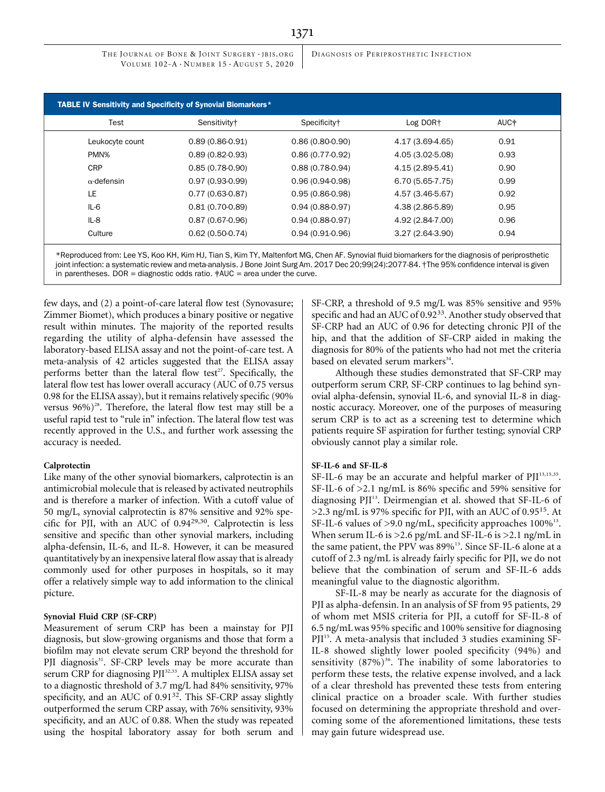DIAGNOSIS OF PERIPROSTHETIC INFECTION

| Test               | Sensitivity <sup>+</sup> | Specificity <sup>+</sup> | Log DOR+          | AUC <sup>+</sup> |
|--------------------|--------------------------|--------------------------|-------------------|------------------|
| Leukocyte count    | $0.89(0.86-0.91)$        | $0.86(0.80-0.90)$        | 4.17 (3.69-4.65)  | 0.91             |
| PMN%               | $0.89(0.82 - 0.93)$      | $0.86(0.77-0.92)$        | 4.05 (3.02-5.08)  | 0.93             |
| <b>CRP</b>         | $0.85(0.78-0.90)$        | $0.88(0.78-0.94)$        | 4.15 (2.89-5.41)  | 0.90             |
| $\alpha$ -defensin | $0.97(0.93-0.99)$        | $0.96(0.94-0.98)$        | $6.70(5.65-7.75)$ | 0.99             |
| LE                 | $0.77(0.63-0.87)$        | $0.95(0.86-0.98)$        | 4.57 (3.46-5.67)  | 0.92             |
| $IL-6$             | $0.81(0.70-0.89)$        | $0.94(0.88-0.97)$        | 4.38 (2.86-5.89)  | 0.95             |
| $IL-8$             | $0.87(0.67-0.96)$        | $0.94(0.88-0.97)$        | 4.92 (2.84-7.00)  | 0.96             |
| Culture            | $0.62(0.50-0.74)$        | $0.94(0.91-0.96)$        | $3.27(2.64-3.90)$ | 0.94             |

\*Reproduced from: Lee YS, Koo KH, Kim HJ, Tian S, Kim TY, Maltenfort MG, Chen AF. Synovial fluid biomarkers for the diagnosis of periprosthetic joint infection: a systematic review and meta-analysis. J Bone Joint Surg Am. 2017 Dec 20;99(24):2077-84. †The 95% confidence interval is given in parentheses. DOR = diagnostic odds ratio.  $\frac{4}{7}$ AUC = area under the curve.

few days, and (2) a point-of-care lateral flow test (Synovasure; Zimmer Biomet), which produces a binary positive or negative result within minutes. The majority of the reported results regarding the utility of alpha-defensin have assessed the laboratory-based ELISA assay and not the point-of-care test. A meta-analysis of 42 articles suggested that the ELISA assay performs better than the lateral flow test<sup>27</sup>. Specifically, the lateral flow test has lower overall accuracy (AUC of 0.75 versus 0.98 for the ELISA assay), but it remains relatively specific (90% versus  $96\%$ <sup>28</sup>. Therefore, the lateral flow test may still be a useful rapid test to "rule in" infection. The lateral flow test was recently approved in the U.S., and further work assessing the accuracy is needed.

### Calprotectin

Like many of the other synovial biomarkers, calprotectin is an antimicrobial molecule that is released by activated neutrophils and is therefore a marker of infection. With a cutoff value of 50 mg/L, synovial calprotectin is 87% sensitive and 92% specific for PJI, with an AUC of 0.9429,30. Calprotectin is less sensitive and specific than other synovial markers, including alpha-defensin, IL-6, and IL-8. However, it can be measured quantitatively by an inexpensive lateral flow assay that is already commonly used for other purposes in hospitals, so it may offer a relatively simple way to add information to the clinical picture.

### Synovial Fluid CRP (SF-CRP)

Measurement of serum CRP has been a mainstay for PJI diagnosis, but slow-growing organisms and those that form a biofilm may not elevate serum CRP beyond the threshold for PJI diagnosis<sup>31</sup>. SF-CRP levels may be more accurate than serum CRP for diagnosing PJI<sup>32,33</sup>. A multiplex ELISA assay set to a diagnostic threshold of 3.7 mg/L had 84% sensitivity, 97% specificity, and an AUC of 0.91<sup>32</sup>. This SF-CRP assay slightly outperformed the serum CRP assay, with 76% sensitivity, 93% specificity, and an AUC of 0.88. When the study was repeated using the hospital laboratory assay for both serum and SF-CRP, a threshold of 9.5 mg/L was 85% sensitive and 95% specific and had an AUC of 0.92<sup>33</sup>. Another study observed that SF-CRP had an AUC of 0.96 for detecting chronic PJI of the hip, and that the addition of SF-CRP aided in making the diagnosis for 80% of the patients who had not met the criteria based on elevated serum markers<sup>34</sup>.

Although these studies demonstrated that SF-CRP may outperform serum CRP, SF-CRP continues to lag behind synovial alpha-defensin, synovial IL-6, and synovial IL-8 in diagnostic accuracy. Moreover, one of the purposes of measuring serum CRP is to act as a screening test to determine which patients require SF aspiration for further testing; synovial CRP obviously cannot play a similar role.

### SF-IL-6 and SF-IL-8

SF-IL-6 may be an accurate and helpful marker of PJI<sup>13,15,35</sup>. SF-IL-6 of >2.1 ng/mL is 86% specific and 59% sensitive for diagnosing PJI<sup>13</sup>. Deirmengian et al. showed that SF-IL-6 of  $>2.3$  ng/mL is 97% specific for PJI, with an AUC of 0.95<sup>15</sup>. At SF-IL-6 values of  $>9.0$  ng/mL, specificity approaches  $100\%$ <sup>13</sup>. When serum IL-6 is >2.6 pg/mL and SF-IL-6 is >2.1 ng/mL in the same patient, the PPV was 89%<sup>13</sup>. Since SF-IL-6 alone at a cutoff of 2.3 ng/mL is already fairly specific for PJI, we do not believe that the combination of serum and SF-IL-6 adds meaningful value to the diagnostic algorithm.

SF-IL-8 may be nearly as accurate for the diagnosis of PJI as alpha-defensin. In an analysis of SF from 95 patients, 29 of whom met MSIS criteria for PJI, a cutoff for SF-IL-8 of 6.5 ng/mLwas 95% specific and 100% sensitive for diagnosing PJI<sup>15</sup>. A meta-analysis that included 3 studies examining SF-IL-8 showed slightly lower pooled specificity (94%) and sensitivity  $(87\%)^{36}$ . The inability of some laboratories to perform these tests, the relative expense involved, and a lack of a clear threshold has prevented these tests from entering clinical practice on a broader scale. With further studies focused on determining the appropriate threshold and overcoming some of the aforementioned limitations, these tests may gain future widespread use.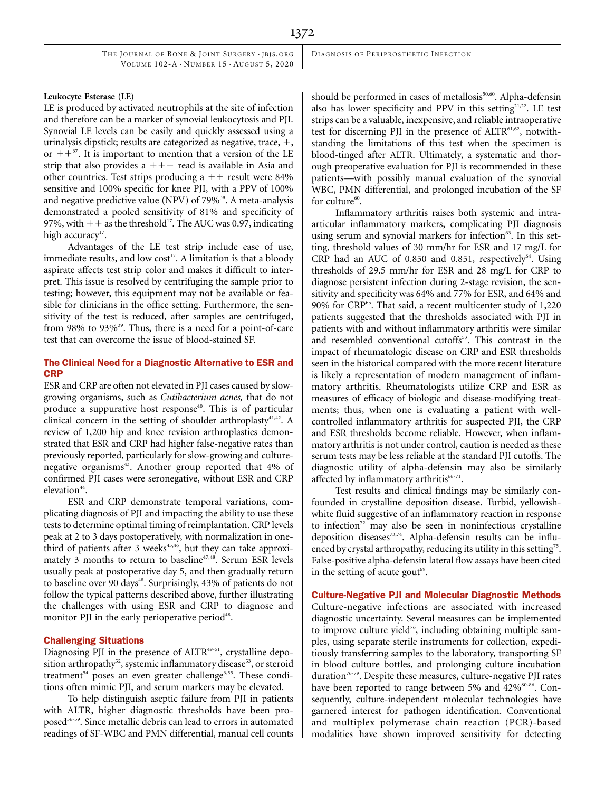### Leukocyte Esterase (LE)

LE is produced by activated neutrophils at the site of infection and therefore can be a marker of synovial leukocytosis and PJI. Synovial LE levels can be easily and quickly assessed using a urinalysis dipstick; results are categorized as negative, trace,  $+$ , or  $++^{37}$ . It is important to mention that a version of the LE strip that also provides  $a + + +$  read is available in Asia and other countries. Test strips producing  $a ++$  result were 84% sensitive and 100% specific for knee PJI, with a PPV of 100% and negative predictive value (NPV) of  $79\%$ <sup>38</sup>. A meta-analysis demonstrated a pooled sensitivity of 81% and specificity of 97%, with  $++$  as the threshold<sup>17</sup>. The AUC was 0.97, indicating high accuracy<sup>17</sup>.

Advantages of the LE test strip include ease of use, immediate results, and low cost<sup>17</sup>. A limitation is that a bloody aspirate affects test strip color and makes it difficult to interpret. This issue is resolved by centrifuging the sample prior to testing; however, this equipment may not be available or feasible for clinicians in the office setting. Furthermore, the sensitivity of the test is reduced, after samples are centrifuged, from 98% to 93%<sup>39</sup>. Thus, there is a need for a point-of-care test that can overcome the issue of blood-stained SF.

### The Clinical Need for a Diagnostic Alternative to ESR and CRP

ESR and CRP are often not elevated in PJI cases caused by slowgrowing organisms, such as Cutibacterium acnes, that do not produce a suppurative host response<sup>40</sup>. This is of particular clinical concern in the setting of shoulder arthroplasty<sup>41,42</sup>. A review of 1,200 hip and knee revision arthroplasties demonstrated that ESR and CRP had higher false-negative rates than previously reported, particularly for slow-growing and culturenegative organisms<sup>43</sup>. Another group reported that 4% of confirmed PJI cases were seronegative, without ESR and CRP elevation $44$ .

ESR and CRP demonstrate temporal variations, complicating diagnosis of PJI and impacting the ability to use these tests to determine optimal timing of reimplantation. CRP levels peak at 2 to 3 days postoperatively, with normalization in onethird of patients after 3 weeks $45,46$ , but they can take approximately  $3$  months to return to baseline<sup>47,48</sup>. Serum ESR levels usually peak at postoperative day 5, and then gradually return to baseline over 90 days<sup>48</sup>. Surprisingly, 43% of patients do not follow the typical patterns described above, further illustrating the challenges with using ESR and CRP to diagnose and monitor PJI in the early perioperative period<sup>48</sup>.

### Challenging Situations

Diagnosing PJI in the presence of ALTR<sup>49-51</sup>, crystalline deposition arthropathy<sup>52</sup>, systemic inflammatory disease<sup>53</sup>, or steroid treatment<sup>54</sup> poses an even greater challenge<sup>3,55</sup>. These conditions often mimic PJI, and serum markers may be elevated.

To help distinguish aseptic failure from PJI in patients with ALTR, higher diagnostic thresholds have been proposed<sup>56-59</sup>. Since metallic debris can lead to errors in automated readings of SF-WBC and PMN differential, manual cell counts should be performed in cases of metallosis<sup>50,60</sup>. Alpha-defensin also has lower specificity and PPV in this setting $2^{1,22}$ . LE test strips can be a valuable, inexpensive, and reliable intraoperative test for discerning PJI in the presence of ALTR<sup>61,62</sup>, notwithstanding the limitations of this test when the specimen is blood-tinged after ALTR. Ultimately, a systematic and thorough preoperative evaluation for PJI is recommended in these patients—with possibly manual evaluation of the synovial WBC, PMN differential, and prolonged incubation of the SF for culture<sup>60</sup>.

Inflammatory arthritis raises both systemic and intraarticular inflammatory markers, complicating PJI diagnosis using serum and synovial markers for infection<sup>63</sup>. In this setting, threshold values of 30 mm/hr for ESR and 17 mg/L for CRP had an AUC of 0.850 and 0.851, respectively $64$ . Using thresholds of 29.5 mm/hr for ESR and 28 mg/L for CRP to diagnose persistent infection during 2-stage revision, the sensitivity and specificity was 64% and 77% for ESR, and 64% and 90% for CRP<sup>65</sup>. That said, a recent multicenter study of 1,220 patients suggested that the thresholds associated with PJI in patients with and without inflammatory arthritis were similar and resembled conventional cutoffs<sup>53</sup>. This contrast in the impact of rheumatologic disease on CRP and ESR thresholds seen in the historical compared with the more recent literature is likely a representation of modern management of inflammatory arthritis. Rheumatologists utilize CRP and ESR as measures of efficacy of biologic and disease-modifying treatments; thus, when one is evaluating a patient with wellcontrolled inflammatory arthritis for suspected PJI, the CRP and ESR thresholds become reliable. However, when inflammatory arthritis is not under control, caution is needed as these serum tests may be less reliable at the standard PJI cutoffs. The diagnostic utility of alpha-defensin may also be similarly affected by inflammatory arthritis $66-71$ .

Test results and clinical findings may be similarly confounded in crystalline deposition disease. Turbid, yellowishwhite fluid suggestive of an inflammatory reaction in response to infection $72$  may also be seen in noninfectious crystalline deposition diseases<sup>73,74</sup>. Alpha-defensin results can be influenced by crystal arthropathy, reducing its utility in this setting<sup>75</sup>. False-positive alpha-defensin lateral flow assays have been cited in the setting of acute gout<sup>69</sup>.

### Culture-Negative PJI and Molecular Diagnostic Methods

Culture-negative infections are associated with increased diagnostic uncertainty. Several measures can be implemented to improve culture yield<sup>76</sup>, including obtaining multiple samples, using separate sterile instruments for collection, expeditiously transferring samples to the laboratory, transporting SF in blood culture bottles, and prolonging culture incubation duration<sup>76-79</sup>. Despite these measures, culture-negative PJI rates have been reported to range between 5% and 42%<sup>80-86</sup>. Consequently, culture-independent molecular technologies have garnered interest for pathogen identification. Conventional and multiplex polymerase chain reaction (PCR)-based modalities have shown improved sensitivity for detecting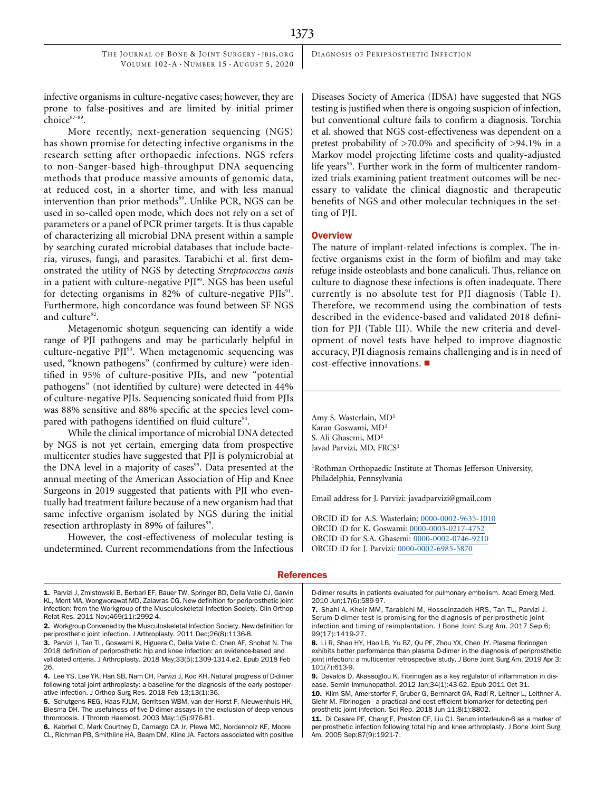DIAGNOSIS OF PERIPROSTHETIC INFECTION

infective organisms in culture-negative cases; however, they are prone to false-positives and are limited by initial primer choice<sup>87-89</sup>.

More recently, next-generation sequencing (NGS) has shown promise for detecting infective organisms in the research setting after orthopaedic infections. NGS refers to non-Sanger-based high-throughput DNA sequencing methods that produce massive amounts of genomic data, at reduced cost, in a shorter time, and with less manual intervention than prior methods<sup>89</sup>. Unlike PCR, NGS can be used in so-called open mode, which does not rely on a set of parameters or a panel of PCR primer targets. It is thus capable of characterizing all microbial DNA present within a sample by searching curated microbial databases that include bacteria, viruses, fungi, and parasites. Tarabichi et al. first demonstrated the utility of NGS by detecting Streptococcus canis in a patient with culture-negative  $PII^{90}$ . NGS has been useful for detecting organisms in 82% of culture-negative PJIs<sup>91</sup>. Furthermore, high concordance was found between SF NGS and culture<sup>92</sup>.

Metagenomic shotgun sequencing can identify a wide range of PJI pathogens and may be particularly helpful in culture-negative PJI<sup>93</sup>. When metagenomic sequencing was used, "known pathogens" (confirmed by culture) were identified in 95% of culture-positive PJIs, and new "potential pathogens" (not identified by culture) were detected in 44% of culture-negative PJIs. Sequencing sonicated fluid from PJIs was 88% sensitive and 88% specific at the species level compared with pathogens identified on fluid culture<sup>94</sup>.

While the clinical importance of microbial DNA detected by NGS is not yet certain, emerging data from prospective multicenter studies have suggested that PJI is polymicrobial at the DNA level in a majority of cases<sup>95</sup>. Data presented at the annual meeting of the American Association of Hip and Knee Surgeons in 2019 suggested that patients with PJI who eventually had treatment failure because of a new organism had that same infective organism isolated by NGS during the initial resection arthroplasty in 89% of failures<sup>95</sup>.

However, the cost-effectiveness of molecular testing is undetermined. Current recommendations from the Infectious Diseases Society of America (IDSA) have suggested that NGS testing is justified when there is ongoing suspicion of infection, but conventional culture fails to confirm a diagnosis. Torchia et al. showed that NGS cost-effectiveness was dependent on a pretest probability of >70.0% and specificity of >94.1% in a Markov model projecting lifetime costs and quality-adjusted life years<sup>96</sup>. Further work in the form of multicenter randomized trials examining patient treatment outcomes will be necessary to validate the clinical diagnostic and therapeutic benefits of NGS and other molecular techniques in the setting of PJI.

### **Overview**

The nature of implant-related infections is complex. The infective organisms exist in the form of biofilm and may take refuge inside osteoblasts and bone canaliculi. Thus, reliance on culture to diagnose these infections is often inadequate. There currently is no absolute test for PJI diagnosis (Table I). Therefore, we recommend using the combination of tests described in the evidence-based and validated 2018 definition for PJI (Table III). While the new criteria and development of novel tests have helped to improve diagnostic accuracy, PJI diagnosis remains challenging and is in need of  $cost\text{-}effective\text{ }innovations.$ 

Amy S. Wasterlain, MD<sup>1</sup> Karan Goswami, MD<sup>1</sup> S. Ali Ghasemi, MD<sup>1</sup> Javad Parvizi, MD, FRCS<sup>1</sup>

<sup>1</sup>Rothman Orthopaedic Institute at Thomas Jefferson University, Philadelphia, Pennsylvania

Email address for J. Parvizi: [javadparvizi@gmail.com](mailto:javadparvizi@gmail.com)

ORCID iD for A.S. Wasterlain: [0000-0002-9635-1010](http://orcid.org/0000-0002-9635-1010) ORCID iD for K. Goswami: [0000-0003-0217-4752](http://orcid.org/0000-0003-0217-4752) ORCID iD for S.A. Ghasemi: [0000-0002-0746-9210](http://orcid.org/0000-0002-0746-9210) ORCID iD for J. Parvizi: [0000-0002-6985-5870](http://orcid.org/0000-0002-6985-5870)

### **References**

- 1. Parvizi J, Zmistowski B, Berbari EF, Bauer TW, Springer BD, Della Valle CJ, Garvin KL, Mont MA, Wongworawat MD, Zalavras CG. New definition for periprosthetic joint infection: from the Workgroup of the Musculoskeletal Infection Society. Clin Orthop Relat Res. 2011 Nov;469(11):2992-4.
- 2. Workgroup Convened by the Musculoskeletal Infection Society. New definition for periprosthetic joint infection. J Arthroplasty. 2011 Dec;26(8):1136-8.
- 3. Parvizi J, Tan TL, Goswami K, Higuera C, Della Valle C, Chen AF, Shohat N. The 2018 definition of periprosthetic hip and knee infection: an evidence-based and validated criteria. J Arthroplasty. 2018 May;33(5):1309-1314.e2. Epub 2018 Feb 26.
- 4. Lee YS, Lee YK, Han SB, Nam CH, Parvizi J, Koo KH. Natural progress of D-dimer following total joint arthroplasty: a baseline for the diagnosis of the early postoperative infection. J Orthop Surg Res. 2018 Feb 13;13(1):36.
- 5. Schutgens REG, Haas FJLM, Gerritsen WBM, van der Horst F, Nieuwenhuis HK, Biesma DH. The usefulness of five D-dimer assays in the exclusion of deep venous thrombosis. J Thromb Haemost. 2003 May;1(5):976-81.
- 6. Kabrhel C, Mark Courtney D, Camargo CA Jr, Plewa MC, Nordenholz KE, Moore CL, Richman PB, Smithline HA, Beam DM, Kline JA. Factors associated with positive

D-dimer results in patients evaluated for pulmonary embolism. Acad Emerg Med. 2010 Jun;17(6):589-97.

- 7. Shahi A, Kheir MM, Tarabichi M, Hosseinzadeh HRS, Tan TL, Parvizi J. Serum D-dimer test is promising for the diagnosis of periprosthetic joint infection and timing of reimplantation. J Bone Joint Surg Am. 2017 Sep 6; 99(17):1419-27.
- 8. Li R, Shao HY, Hao LB, Yu BZ, Qu PF, Zhou YX, Chen JY. Plasma fibrinogen exhibits better performance than plasma D-dimer in the diagnosis of periprosthetic joint infection: a multicenter retrospective study. J Bone Joint Surg Am. 2019 Apr 3; 101(7):613-9.

<sup>9.</sup> Davalos D, Akassoglou K. Fibrinogen as a key regulator of inflammation in disease. Semin Immunopathol. 2012 Jan;34(1):43-62. Epub 2011 Oct 31.

<sup>10.</sup> Klim SM, Amerstorfer F, Gruber G, Bernhardt GA, Radl R, Leitner L, Leithner A, Glehr M. Fibrinogen - a practical and cost efficient biomarker for detecting periprosthetic joint infection. Sci Rep. 2018 Jun 11;8(1):8802.

<sup>11.</sup> Di Cesare PE, Chang E, Preston CF, Liu CJ. Serum interleukin-6 as a marker of periprosthetic infection following total hip and knee arthroplasty. J Bone Joint Surg Am. 2005 Sep;87(9):1921-7.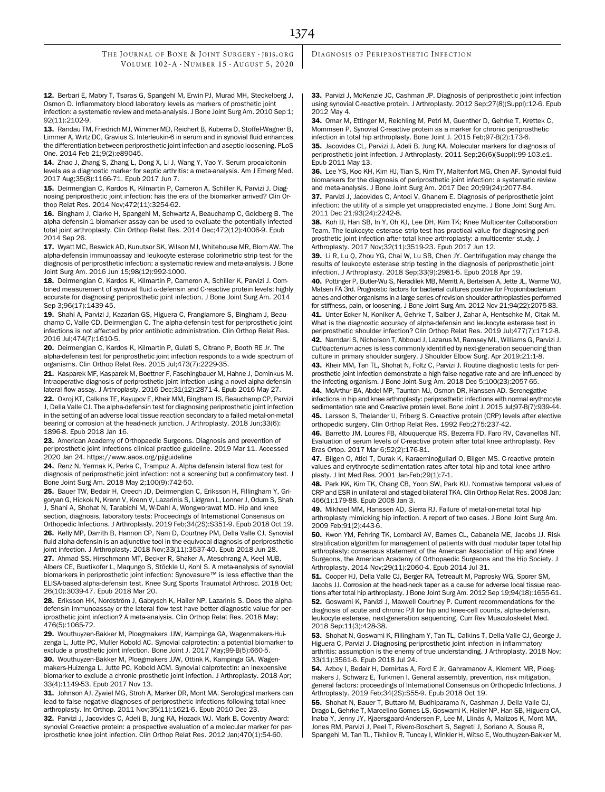12. Berbari E, Mabry T, Tsaras G, Spangehl M, Erwin PJ, Murad MH, Steckelberg J, Osmon D. Inflammatory blood laboratory levels as markers of prosthetic joint infection: a systematic review and meta-analysis. J Bone Joint Surg Am. 2010 Sep 1; 92(11):2102-9.

13. Randau TM, Friedrich MJ, Wimmer MD, Reichert B, Kuberra D, Stoffel-Wagner B, Limmer A, Wirtz DC, Gravius S. Interleukin-6 in serum and in synovial fluid enhances the differentiation between periprosthetic joint infection and aseptic loosening. PLoS One. 2014 Feb 21;9(2):e89045.

14. Zhao J, Zhang S, Zhang L, Dong X, Li J, Wang Y, Yao Y. Serum procalcitonin levels as a diagnostic marker for septic arthritis: a meta-analysis. Am J Emerg Med. 2017 Aug;35(8):1166-71. Epub 2017 Jun 7.

15. Deirmengian C, Kardos K, Kilmartin P, Cameron A, Schiller K, Parvizi J. Diagnosing periprosthetic joint infection: has the era of the biomarker arrived? Clin Orthop Relat Res. 2014 Nov;472(11):3254-62.

16. Bingham J, Clarke H, Spangehl M, Schwartz A, Beauchamp C, Goldberg B. The alpha defensin-1 biomarker assay can be used to evaluate the potentially infected total joint arthroplasty. Clin Orthop Relat Res. 2014 Dec;472(12):4006-9. Epub 2014 Sep 26.

17. Wyatt MC, Beswick AD, Kunutsor SK, Wilson MJ, Whitehouse MR, Blom AW. The alpha-defensin immunoassay and leukocyte esterase colorimetric strip test for the diagnosis of periprosthetic infection: a systematic review and meta-analysis. J Bone Joint Surg Am. 2016 Jun 15;98(12):992-1000.

18. Deirmengian C, Kardos K, Kilmartin P, Cameron A, Schiller K, Parvizi J. Combined measurement of synovial fluid  $\alpha$ -defensin and C-reactive protein levels: highly accurate for diagnosing periprosthetic joint infection. J Bone Joint Surg Am. 2014 Sep 3;96(17):1439-45.

19. Shahi A, Parvizi J, Kazarian GS, Higuera C, Frangiamore S, Bingham J, Beauchamp C, Valle CD, Deirmengian C. The alpha-defensin test for periprosthetic joint infections is not affected by prior antibiotic administration. Clin Orthop Relat Res. 2016 Jul;474(7):1610-5.

20. Deirmengian C, Kardos K, Kilmartin P, Gulati S, Citrano P, Booth RE Jr. The alpha-defensin test for periprosthetic joint infection responds to a wide spectrum of organisms. Clin Orthop Relat Res. 2015 Jul;473(7):2229-35.

21. Kasparek MF, Kasparek M, Boettner F, Faschingbauer M, Hahne J, Dominkus M. Intraoperative diagnosis of periprosthetic joint infection using a novel alpha-defensin lateral flow assay. J Arthroplasty. 2016 Dec;31(12):2871-4. Epub 2016 May 27.

22. Okroj KT, Calkins TE, Kayupov E, Kheir MM, Bingham JS, Beauchamp CP, Parvizi J, Della Valle CJ. The alpha-defensin test for diagnosing periprosthetic joint infection in the setting of an adverse local tissue reaction secondary to a failed metal-on-metal bearing or corrosion at the head-neck junction. J Arthroplasty. 2018 Jun;33(6): 1896-8. Epub 2018 Jan 16.

23. American Academy of Orthopaedic Surgeons. Diagnosis and prevention of periprosthetic joint infections clinical practice guideline. 2019 Mar 11. Accessed 2020 Jan 24.<https://www.aaos.org/pjiguideline>

24. Renz N, Yermak K, Perka C, Trampuz A. Alpha defensin lateral flow test for diagnosis of periprosthetic joint infection: not a screening but a confirmatory test. J Bone Joint Surg Am. 2018 May 2;100(9):742-50.

25. Bauer TW, Bedair H, Creech JD, Deirmengian C, Eriksson H, Fillingham Y, Grigoryan G, Hickok N, Krenn V, Krenn V, Lazarinis S, Lidgren L, Lonner J, Odum S, Shah J, Shahi A, Shohat N, Tarabichi M, W-Dahl A, Wongworawat MD. Hip and knee section, diagnosis, laboratory tests: Proceedings of International Consensus on

Orthopedic Infections. J Arthroplasty. 2019 Feb;34(2S):S351-9. Epub 2018 Oct 19. 26. Kelly MP, Darrith B, Hannon CP, Nam D, Courtney PM, Della Valle CJ. Synovial fluid alpha-defensin is an adjunctive tool in the equivocal diagnosis of periprosthetic joint infection. J Arthroplasty. 2018 Nov;33(11):3537-40. Epub 2018 Jun 28.

27. Ahmad SS, Hirschmann MT, Becker R, Shaker A, Ateschrang A, Keel MJB, Albers CE, Buetikofer L, Maqungo S, Stöckle U, Kohl S. A meta-analysis of synovial biomarkers in periprosthetic joint infection: Synovasure™ is less effective than the ELISA-based alpha-defensin test. Knee Surg Sports Traumatol Arthrosc. 2018 Oct; 26(10):3039-47. Epub 2018 Mar 20.

28. Eriksson HK, Nordström J, Gabrysch K, Hailer NP, Lazarinis S. Does the alphadefensin immunoassay or the lateral flow test have better diagnostic value for periprosthetic joint infection? A meta-analysis. Clin Orthop Relat Res. 2018 May; 476(5):1065-72.

29. Wouthuyzen-Bakker M, Ploegmakers JJW, Kampinga GA, Wagenmakers-Huizenga L, Jutte PC, Muller Kobold AC. Synovial calprotectin: a potential biomarker to exclude a prosthetic joint infection. Bone Joint J. 2017 May;99-B(5):660-5.

30. Wouthuyzen-Bakker M, Ploegmakers JJW, Ottink K, Kampinga GA, Wagenmakers-Huizenga L, Jutte PC, Kobold ACM. Synovial calprotectin: an inexpensive biomarker to exclude a chronic prosthetic joint infection. J Arthroplasty. 2018 Apr; 33(4):1149-53. Epub 2017 Nov 13.

31. Johnson AJ, Zywiel MG, Stroh A, Marker DR, Mont MA. Serological markers can lead to false negative diagnoses of periprosthetic infections following total knee arthroplasty. Int Orthop. 2011 Nov;35(11):1621-6. Epub 2010 Dec 23.

32. Parvizi J, Jacovides C, Adeli B, Jung KA, Hozack WJ. Mark B. Coventry Award: synovial C-reactive protein: a prospective evaluation of a molecular marker for periprosthetic knee joint infection. Clin Orthop Relat Res. 2012 Jan;470(1):54-60.

DIAGNOSIS OF PERIPROSTHETIC INFECTION

33. Parvizi J, McKenzie JC, Cashman JP. Diagnosis of periprosthetic joint infection using synovial C-reactive protein. J Arthroplasty. 2012 Sep;27(8)(Suppl):12-6. Epub 2012 May 4.

34. Omar M, Ettinger M, Reichling M, Petri M, Guenther D, Gehrke T, Krettek C, Mommsen P. Synovial C-reactive protein as a marker for chronic periprosthetic infection in total hip arthroplasty. Bone Joint J. 2015 Feb;97-B(2):173-6.

35. Jacovides CL, Parvizi J, Adeli B, Jung KA. Molecular markers for diagnosis of periprosthetic joint infection. J Arthroplasty. 2011 Sep;26(6)(Suppl):99-103.e1. Epub 2011 May 13.

36. Lee YS, Koo KH, Kim HJ, Tian S, Kim TY, Maltenfort MG, Chen AF. Synovial fluid biomarkers for the diagnosis of periprosthetic joint infection: a systematic review and meta-analysis. J Bone Joint Surg Am. 2017 Dec 20;99(24):2077-84.

37. Parvizi J, Jacovides C, Antoci V, Ghanem E. Diagnosis of periprosthetic joint infection: the utility of a simple yet unappreciated enzyme. J Bone Joint Surg Am. 2011 Dec 21;93(24):2242-8.

38. Koh IJ, Han SB, In Y, Oh KJ, Lee DH, Kim TK; Knee Multicenter Collaboration Team. The leukocyte esterase strip test has practical value for diagnosing periprosthetic joint infection after total knee arthroplasty: a multicenter study. J Arthroplasty. 2017 Nov;32(11):3519-23. Epub 2017 Jun 12.

39. Li R, Lu Q, Zhou YG, Chai W, Lu SB, Chen JY. Centrifugation may change the results of leukocyte esterase strip testing in the diagnosis of periprosthetic joint infection. J Arthroplasty. 2018 Sep;33(9):2981-5. Epub 2018 Apr 19.

40. Pottinger P, Butler-Wu S, Neradilek MB, Merritt A, Bertelsen A, Jette JL, Warme WJ, Matsen FA 3rd. Prognostic factors for bacterial cultures positive for Propionibacterium acnes and other organisms in a large series of revision shoulder arthroplasties performed for stiffness, pain, or loosening. J Bone Joint Surg Am. 2012 Nov 21;94(22):2075-83. 41. Unter Ecker N, Koniker A, Gehrke T, Salber J, Zahar A, Hentschke M, Citak M. What is the diagnostic accuracy of alpha-defensin and leukocyte esterase test in

periprosthetic shoulder infection? Clin Orthop Relat Res. 2019 Jul;477(7):1712-8. 42. Namdari S, Nicholson T, Abboud J, Lazarus M, Ramsey ML, Williams G, Parvizi J. Cutibacterium acnes is less commonly identified by next-generation sequencing than culture in primary shoulder surgery. J Shoulder Elbow Surg. Apr 2019;21:1-8.

43. Kheir MM, Tan TL, Shohat N, Foltz C, Parvizi J. Routine diagnostic tests for periprosthetic joint infection demonstrate a high false-negative rate and are influenced by the infecting organism. J Bone Joint Surg Am. 2018 Dec 5;100(23):2057-65.

44. McArthur BA, Abdel MP, Taunton MJ, Osmon DR, Hanssen AD. Seronegative infections in hip and knee arthroplasty: periprosthetic infections with normal erythrocyte sedimentation rate and C-reactive protein level. Bone Joint J. 2015 Jul;97-B(7):939-44. 45. Larsson S, Thelander U, Friberg S. C-reactive protein (CRP) levels after elective

orthopedic surgery. Clin Orthop Relat Res. 1992 Feb;275:237-42. 46. Barretto JM, Loures FB, Albuquerque RS, Bezerra FD, Faro RV, Cavanellas NT. Evaluation of serum levels of C-reactive protein after total knee arthroplasty. Rev Bras Ortop. 2017 Mar 6;52(2):176-81.

47. Bilgen O, Atici T, Durak K, Karaeminoğullari O, Bilgen MS. C-reactive protein values and erythrocyte sedimentation rates after total hip and total knee arthroplasty. J Int Med Res. 2001 Jan-Feb;29(1):7-1.

48. Park KK, Kim TK, Chang CB, Yoon SW, Park KU. Normative temporal values of CRP and ESR in unilateral and staged bilateral TKA. Clin Orthop Relat Res. 2008 Jan; 466(1):179-88. Epub 2008 Jan 3.

49. Mikhael MM, Hanssen AD, Sierra RJ. Failure of metal-on-metal total hip arthroplasty mimicking hip infection. A report of two cases. J Bone Joint Surg Am. 2009 Feb;91(2):443-6.

50. Kwon YM, Fehring TK, Lombardi AV, Barnes CL, Cabanela ME, Jacobs JJ. Risk stratification algorithm for management of patients with dual modular taper total hip arthroplasty: consensus statement of the American Association of Hip and Knee Surgeons, the American Academy of Orthopaedic Surgeons and the Hip Society. J Arthroplasty. 2014 Nov;29(11):2060-4. Epub 2014 Jul 31.

51. Cooper HJ, Della Valle CJ, Berger RA, Tetreault M, Paprosky WG, Sporer SM, Jacobs JJ. Corrosion at the head-neck taper as a cause for adverse local tissue reactions after total hip arthroplasty. J Bone Joint Surg Am. 2012 Sep 19;94(18):1655-61. 52. Goswami K, Parvizi J, Maxwell Courtney P. Current recommendations for the diagnosis of acute and chronic PJI for hip and knee-cell counts, alpha-defensin, leukocyte esterase, next-generation sequencing. Curr Rev Musculoskelet Med. 2018 Sep;11(3):428-38.

53. Shohat N, Goswami K, Fillingham Y, Tan TL, Calkins T, Della Valle CJ, George J, Higuera C, Parvizi J. Diagnosing periprosthetic joint infection in inflammatory arthritis: assumption is the enemy of true understanding. J Arthroplasty. 2018 Nov; 33(11):3561-6. Epub 2018 Jul 24.

54. Azboy I, Bedair H, Demirtas A, Ford E Jr, Gahramanov A, Klement MR, Ploegmakers J, Schwarz E, Turkmen I. General assembly, prevention, risk mitigation, general factors: proceedings of International Consensus on Orthopedic Infections. J Arthroplasty. 2019 Feb;34(2S):S55-9. Epub 2018 Oct 19.

55. Shohat N, Bauer T, Buttaro M, Budhiparama N, Cashman J, Della Valle CJ, Drago L, Gehrke T, Marcelino Gomes LS, Goswami K, Hailer NP, Han SB, Higuera CA, Inaba Y, Jenny JY, Kjaersgaard-Andersen P, Lee M, Llinás A, Malizos K, Mont MA, Jones RM, Parvizi J, Peel T, Rivero-Boschert S, Segreti J, Soriano A, Sousa R, Spangehl M, Tan TL, Tikhilov R, Tuncay I, Winkler H, Witso E, Wouthuyzen-Bakker M,